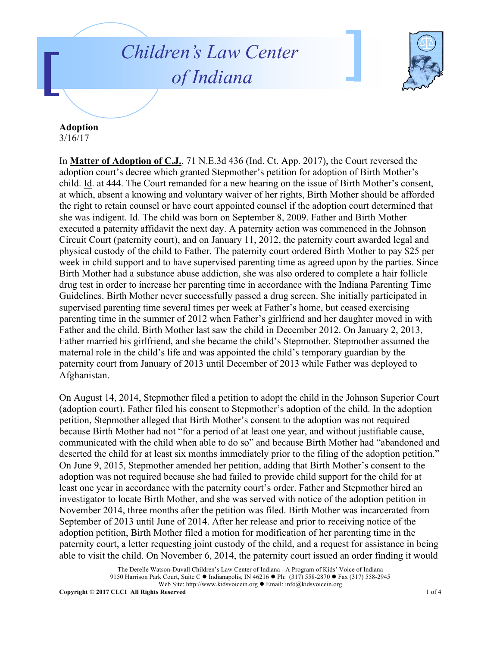## *Children's Law Center of Indiana*



## **Adoption**

3/16/17

In **Matter of Adoption of C.J.**, 71 N.E.3d 436 (Ind. Ct. App. 2017), the Court reversed the adoption court's decree which granted Stepmother's petition for adoption of Birth Mother's child. Id. at 444. The Court remanded for a new hearing on the issue of Birth Mother's consent, at which, absent a knowing and voluntary waiver of her rights, Birth Mother should be afforded the right to retain counsel or have court appointed counsel if the adoption court determined that she was indigent. Id. The child was born on September 8, 2009. Father and Birth Mother executed a paternity affidavit the next day. A paternity action was commenced in the Johnson Circuit Court (paternity court), and on January 11, 2012, the paternity court awarded legal and physical custody of the child to Father. The paternity court ordered Birth Mother to pay \$25 per week in child support and to have supervised parenting time as agreed upon by the parties. Since Birth Mother had a substance abuse addiction, she was also ordered to complete a hair follicle drug test in order to increase her parenting time in accordance with the Indiana Parenting Time Guidelines. Birth Mother never successfully passed a drug screen. She initially participated in supervised parenting time several times per week at Father's home, but ceased exercising parenting time in the summer of 2012 when Father's girlfriend and her daughter moved in with Father and the child. Birth Mother last saw the child in December 2012. On January 2, 2013, Father married his girlfriend, and she became the child's Stepmother. Stepmother assumed the maternal role in the child's life and was appointed the child's temporary guardian by the paternity court from January of 2013 until December of 2013 while Father was deployed to Afghanistan.

On August 14, 2014, Stepmother filed a petition to adopt the child in the Johnson Superior Court (adoption court). Father filed his consent to Stepmother's adoption of the child. In the adoption petition, Stepmother alleged that Birth Mother's consent to the adoption was not required because Birth Mother had not "for a period of at least one year, and without justifiable cause, communicated with the child when able to do so" and because Birth Mother had "abandoned and deserted the child for at least six months immediately prior to the filing of the adoption petition." On June 9, 2015, Stepmother amended her petition, adding that Birth Mother's consent to the adoption was not required because she had failed to provide child support for the child for at least one year in accordance with the paternity court's order. Father and Stepmother hired an investigator to locate Birth Mother, and she was served with notice of the adoption petition in November 2014, three months after the petition was filed. Birth Mother was incarcerated from September of 2013 until June of 2014. After her release and prior to receiving notice of the adoption petition, Birth Mother filed a motion for modification of her parenting time in the paternity court, a letter requesting joint custody of the child, and a request for assistance in being able to visit the child. On November 6, 2014, the paternity court issued an order finding it would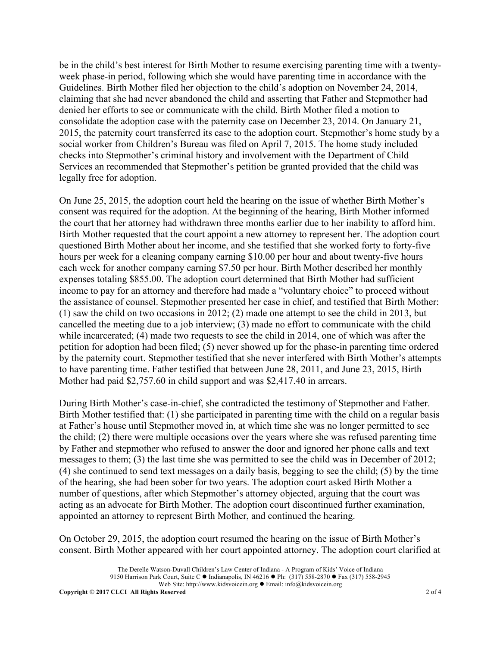be in the child's best interest for Birth Mother to resume exercising parenting time with a twentyweek phase-in period, following which she would have parenting time in accordance with the Guidelines. Birth Mother filed her objection to the child's adoption on November 24, 2014, claiming that she had never abandoned the child and asserting that Father and Stepmother had denied her efforts to see or communicate with the child. Birth Mother filed a motion to consolidate the adoption case with the paternity case on December 23, 2014. On January 21, 2015, the paternity court transferred its case to the adoption court. Stepmother's home study by a social worker from Children's Bureau was filed on April 7, 2015. The home study included checks into Stepmother's criminal history and involvement with the Department of Child Services an recommended that Stepmother's petition be granted provided that the child was legally free for adoption.

On June 25, 2015, the adoption court held the hearing on the issue of whether Birth Mother's consent was required for the adoption. At the beginning of the hearing, Birth Mother informed the court that her attorney had withdrawn three months earlier due to her inability to afford him. Birth Mother requested that the court appoint a new attorney to represent her. The adoption court questioned Birth Mother about her income, and she testified that she worked forty to forty-five hours per week for a cleaning company earning \$10.00 per hour and about twenty-five hours each week for another company earning \$7.50 per hour. Birth Mother described her monthly expenses totaling \$855.00. The adoption court determined that Birth Mother had sufficient income to pay for an attorney and therefore had made a "voluntary choice" to proceed without the assistance of counsel. Stepmother presented her case in chief, and testified that Birth Mother: (1) saw the child on two occasions in 2012; (2) made one attempt to see the child in 2013, but cancelled the meeting due to a job interview; (3) made no effort to communicate with the child while incarcerated; (4) made two requests to see the child in 2014, one of which was after the petition for adoption had been filed; (5) never showed up for the phase-in parenting time ordered by the paternity court. Stepmother testified that she never interfered with Birth Mother's attempts to have parenting time. Father testified that between June 28, 2011, and June 23, 2015, Birth Mother had paid \$2,757.60 in child support and was \$2,417.40 in arrears.

During Birth Mother's case-in-chief, she contradicted the testimony of Stepmother and Father. Birth Mother testified that: (1) she participated in parenting time with the child on a regular basis at Father's house until Stepmother moved in, at which time she was no longer permitted to see the child; (2) there were multiple occasions over the years where she was refused parenting time by Father and stepmother who refused to answer the door and ignored her phone calls and text messages to them; (3) the last time she was permitted to see the child was in December of 2012; (4) she continued to send text messages on a daily basis, begging to see the child; (5) by the time of the hearing, she had been sober for two years. The adoption court asked Birth Mother a number of questions, after which Stepmother's attorney objected, arguing that the court was acting as an advocate for Birth Mother. The adoption court discontinued further examination, appointed an attorney to represent Birth Mother, and continued the hearing.

On October 29, 2015, the adoption court resumed the hearing on the issue of Birth Mother's consent. Birth Mother appeared with her court appointed attorney. The adoption court clarified at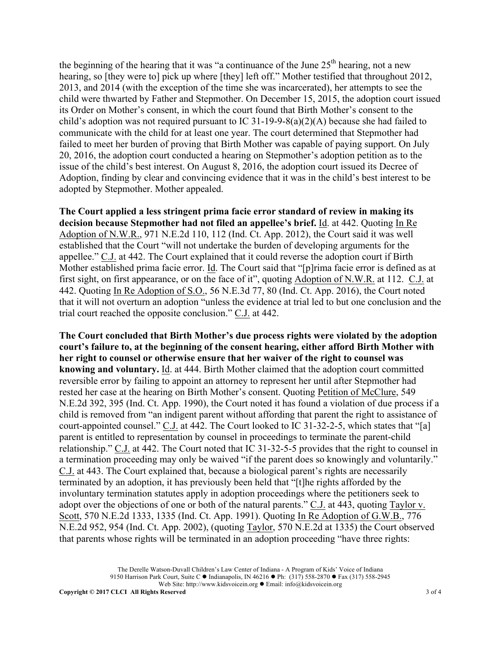the beginning of the hearing that it was "a continuance of the June  $25<sup>th</sup>$  hearing, not a new hearing, so [they were to] pick up where [they] left off." Mother testified that throughout 2012, 2013, and 2014 (with the exception of the time she was incarcerated), her attempts to see the child were thwarted by Father and Stepmother. On December 15, 2015, the adoption court issued its Order on Mother's consent, in which the court found that Birth Mother's consent to the child's adoption was not required pursuant to IC 31-19-9-8(a)(2)(A) because she had failed to communicate with the child for at least one year. The court determined that Stepmother had failed to meet her burden of proving that Birth Mother was capable of paying support. On July 20, 2016, the adoption court conducted a hearing on Stepmother's adoption petition as to the issue of the child's best interest. On August 8, 2016, the adoption court issued its Decree of Adoption, finding by clear and convincing evidence that it was in the child's best interest to be adopted by Stepmother. Mother appealed.

**The Court applied a less stringent prima facie error standard of review in making its decision because Stepmother had not filed an appellee's brief.** Id. at 442. Quoting In Re Adoption of N.W.R., 971 N.E.2d 110, 112 (Ind. Ct. App. 2012), the Court said it was well established that the Court "will not undertake the burden of developing arguments for the appellee." C.J. at 442. The Court explained that it could reverse the adoption court if Birth Mother established prima facie error. Id. The Court said that "[p]rima facie error is defined as at first sight, on first appearance, or on the face of it", quoting Adoption of N.W.R. at 112. C.J. at 442. Quoting In Re Adoption of S.O., 56 N.E.3d 77, 80 (Ind. Ct. App. 2016), the Court noted that it will not overturn an adoption "unless the evidence at trial led to but one conclusion and the trial court reached the opposite conclusion." C.J. at 442.

**The Court concluded that Birth Mother's due process rights were violated by the adoption court's failure to, at the beginning of the consent hearing, either afford Birth Mother with her right to counsel or otherwise ensure that her waiver of the right to counsel was knowing and voluntary.** Id. at 444. Birth Mother claimed that the adoption court committed reversible error by failing to appoint an attorney to represent her until after Stepmother had rested her case at the hearing on Birth Mother's consent. Quoting Petition of McClure, 549 N.E.2d 392, 395 (Ind. Ct. App. 1990), the Court noted it has found a violation of due process if a child is removed from "an indigent parent without affording that parent the right to assistance of court-appointed counsel." C.J. at 442. The Court looked to IC 31-32-2-5, which states that "[a] parent is entitled to representation by counsel in proceedings to terminate the parent-child relationship." C.J. at 442. The Court noted that IC 31-32-5-5 provides that the right to counsel in a termination proceeding may only be waived "if the parent does so knowingly and voluntarily." C.J. at 443. The Court explained that, because a biological parent's rights are necessarily terminated by an adoption, it has previously been held that "[t]he rights afforded by the involuntary termination statutes apply in adoption proceedings where the petitioners seek to adopt over the objections of one or both of the natural parents." C.J. at 443, quoting Taylor v. Scott, 570 N.E.2d 1333, 1335 (Ind. Ct. App. 1991). Quoting In Re Adoption of G.W.B., 776 N.E.2d 952, 954 (Ind. Ct. App. 2002), (quoting Taylor, 570 N.E.2d at 1335) the Court observed that parents whose rights will be terminated in an adoption proceeding "have three rights: